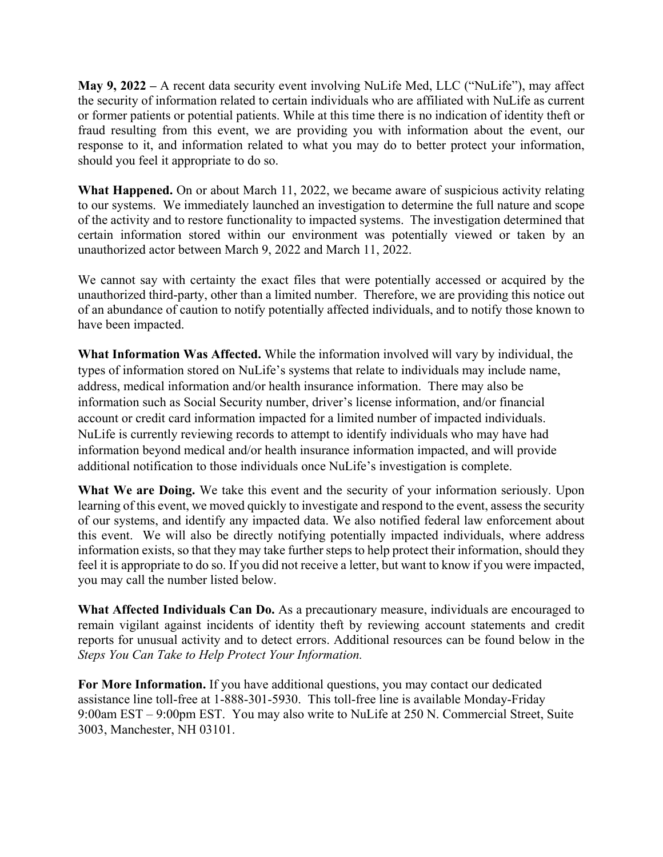**May 9, 2022 –** A recent data security event involving NuLife Med, LLC ("NuLife"), may affect the security of information related to certain individuals who are affiliated with NuLife as current or former patients or potential patients. While at this time there is no indication of identity theft or fraud resulting from this event, we are providing you with information about the event, our response to it, and information related to what you may do to better protect your information, should you feel it appropriate to do so.

**What Happened.** On or about March 11, 2022, we became aware of suspicious activity relating to our systems. We immediately launched an investigation to determine the full nature and scope of the activity and to restore functionality to impacted systems. The investigation determined that certain information stored within our environment was potentially viewed or taken by an unauthorized actor between March 9, 2022 and March 11, 2022.

We cannot say with certainty the exact files that were potentially accessed or acquired by the unauthorized third-party, other than a limited number. Therefore, we are providing this notice out of an abundance of caution to notify potentially affected individuals, and to notify those known to have been impacted.

**What Information Was Affected.** While the information involved will vary by individual, the types of information stored on NuLife's systems that relate to individuals may include name, address, medical information and/or health insurance information. There may also be information such as Social Security number, driver's license information, and/or financial account or credit card information impacted for a limited number of impacted individuals. NuLife is currently reviewing records to attempt to identify individuals who may have had information beyond medical and/or health insurance information impacted, and will provide additional notification to those individuals once NuLife's investigation is complete.

**What We are Doing.** We take this event and the security of your information seriously. Upon learning of this event, we moved quickly to investigate and respond to the event, assess the security of our systems, and identify any impacted data. We also notified federal law enforcement about this event. We will also be directly notifying potentially impacted individuals, where address information exists, so that they may take further steps to help protect their information, should they feel it is appropriate to do so. If you did not receive a letter, but want to know if you were impacted, you may call the number listed below.

**What Affected Individuals Can Do.** As a precautionary measure, individuals are encouraged to remain vigilant against incidents of identity theft by reviewing account statements and credit reports for unusual activity and to detect errors. Additional resources can be found below in the *Steps You Can Take to Help Protect Your Information.*

**For More Information.** If you have additional questions, you may contact our dedicated assistance line toll-free at 1-888-301-5930. This toll-free line is available Monday-Friday 9:00am EST – 9:00pm EST. You may also write to NuLife at 250 N. Commercial Street, Suite 3003, Manchester, NH 03101.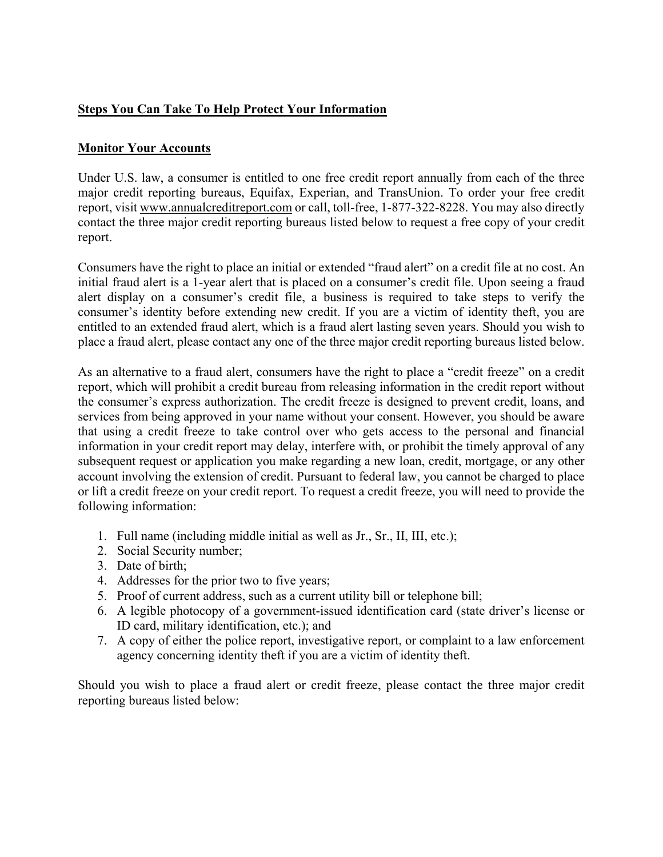## **Steps You Can Take To Help Protect Your Information**

## **Monitor Your Accounts**

Under U.S. law, a consumer is entitled to one free credit report annually from each of the three major credit reporting bureaus, Equifax, Experian, and TransUnion. To order your free credit report, visit www.annualcreditreport.com or call, toll-free, 1-877-322-8228. You may also directly contact the three major credit reporting bureaus listed below to request a free copy of your credit report.

Consumers have the right to place an initial or extended "fraud alert" on a credit file at no cost. An initial fraud alert is a 1-year alert that is placed on a consumer's credit file. Upon seeing a fraud alert display on a consumer's credit file, a business is required to take steps to verify the consumer's identity before extending new credit. If you are a victim of identity theft, you are entitled to an extended fraud alert, which is a fraud alert lasting seven years. Should you wish to place a fraud alert, please contact any one of the three major credit reporting bureaus listed below.

As an alternative to a fraud alert, consumers have the right to place a "credit freeze" on a credit report, which will prohibit a credit bureau from releasing information in the credit report without the consumer's express authorization. The credit freeze is designed to prevent credit, loans, and services from being approved in your name without your consent. However, you should be aware that using a credit freeze to take control over who gets access to the personal and financial information in your credit report may delay, interfere with, or prohibit the timely approval of any subsequent request or application you make regarding a new loan, credit, mortgage, or any other account involving the extension of credit. Pursuant to federal law, you cannot be charged to place or lift a credit freeze on your credit report. To request a credit freeze, you will need to provide the following information:

- 1. Full name (including middle initial as well as Jr., Sr., II, III, etc.);
- 2. Social Security number;
- 3. Date of birth;
- 4. Addresses for the prior two to five years;
- 5. Proof of current address, such as a current utility bill or telephone bill;
- 6. A legible photocopy of a government-issued identification card (state driver's license or ID card, military identification, etc.); and
- 7. A copy of either the police report, investigative report, or complaint to a law enforcement agency concerning identity theft if you are a victim of identity theft.

Should you wish to place a fraud alert or credit freeze, please contact the three major credit reporting bureaus listed below: